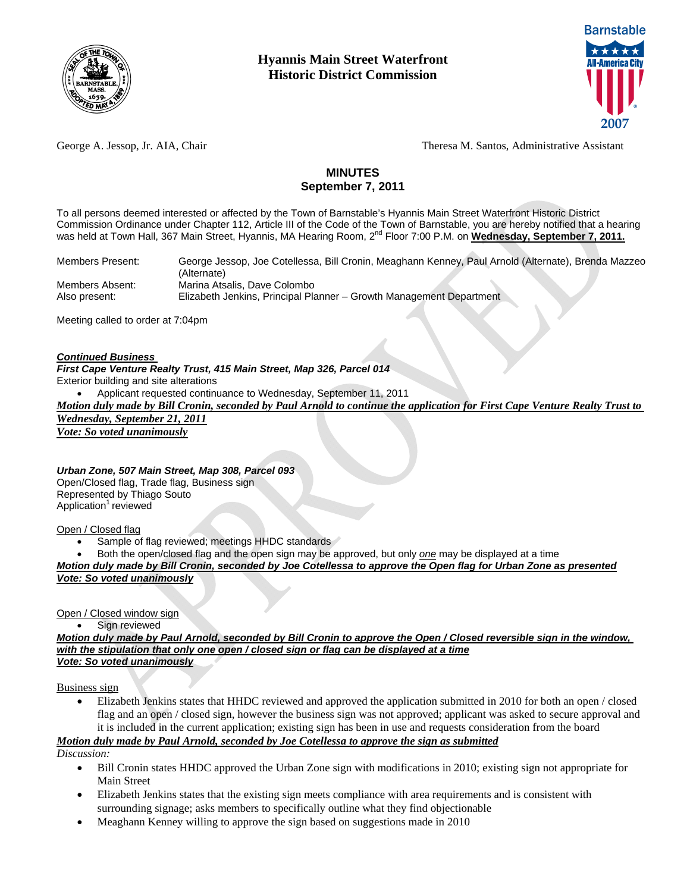



George A. Jessop, Jr. AIA, Chair Theresa M. Santos, Administrative Assistant

## **MINUTES September 7, 2011**

To all persons deemed interested or affected by the Town of Barnstable's Hyannis Main Street Waterfront Historic District Commission Ordinance under Chapter 112, Article III of the Code of the Town of Barnstable, you are hereby notified that a hearing was held at Town Hall, 367 Main Street, Hyannis, MA Hearing Room, 2<sup>nd</sup> Floor 7:00 P.M. on Wednesday, September 7, 2011.

Members Present:George Jessop, Joe Cotellessa, Bill Cronin, Meaghann Kenney, Paul Arnold (Alternate), Brenda Mazzeo (Alternate) Members Absent:Marina Atsalis, Dave Colombo Also present: Elizabeth Jenkins, Principal Planner – Growth Management Department

Meeting called to order at 7:04pm

#### *Continued Business*

*First Cape Venture Realty Trust, 415 Main Street, Map 326, Parcel 014* 

Exterior building and site alterations

Applicant requested continuance to Wednesday, September 11, 2011

*Motion duly made by Bill Cronin, seconded by Paul Arnold to continue the application for First Cape Venture Realty Trust to Wednesday, September 21, 2011*

*Vote: So voted unanimously*

*Urban Zone, 507 Main Street, Map 308, Parcel 093*  Open/Closed flag, Trade flag, Business sign Represented by Thiago Souto Application<sup>1</sup> reviewed

Open / Closed flag

- Sample of flag reviewed; meetings HHDC standards
- Both the open/closed flag and the open sign may be approved, but only *one* may be displayed at a time

*Motion duly made by Bill Cronin, seconded by Joe Cotellessa to approve the Open flag for Urban Zone as presented Vote: So voted unanimously*

Open / Closed window sign

• Sign reviewed

*Motion duly made by Paul Arnold, seconded by Bill Cronin to approve the Open / Closed reversible sign in the window, with the stipulation that only one open / closed sign or flag can be displayed at a time Vote: So voted unanimously*

Business sign

 Elizabeth Jenkins states that HHDC reviewed and approved the application submitted in 2010 for both an open / closed flag and an open / closed sign, however the business sign was not approved; applicant was asked to secure approval and it is included in the current application; existing sign has been in use and requests consideration from the board

*Motion duly made by Paul Arnold, seconded by Joe Cotellessa to approve the sign as submitted*

*Discussion:* 

- Bill Cronin states HHDC approved the Urban Zone sign with modifications in 2010; existing sign not appropriate for Main Street
- Elizabeth Jenkins states that the existing sign meets compliance with area requirements and is consistent with surrounding signage; asks members to specifically outline what they find objectionable
- Meaghann Kenney willing to approve the sign based on suggestions made in 2010